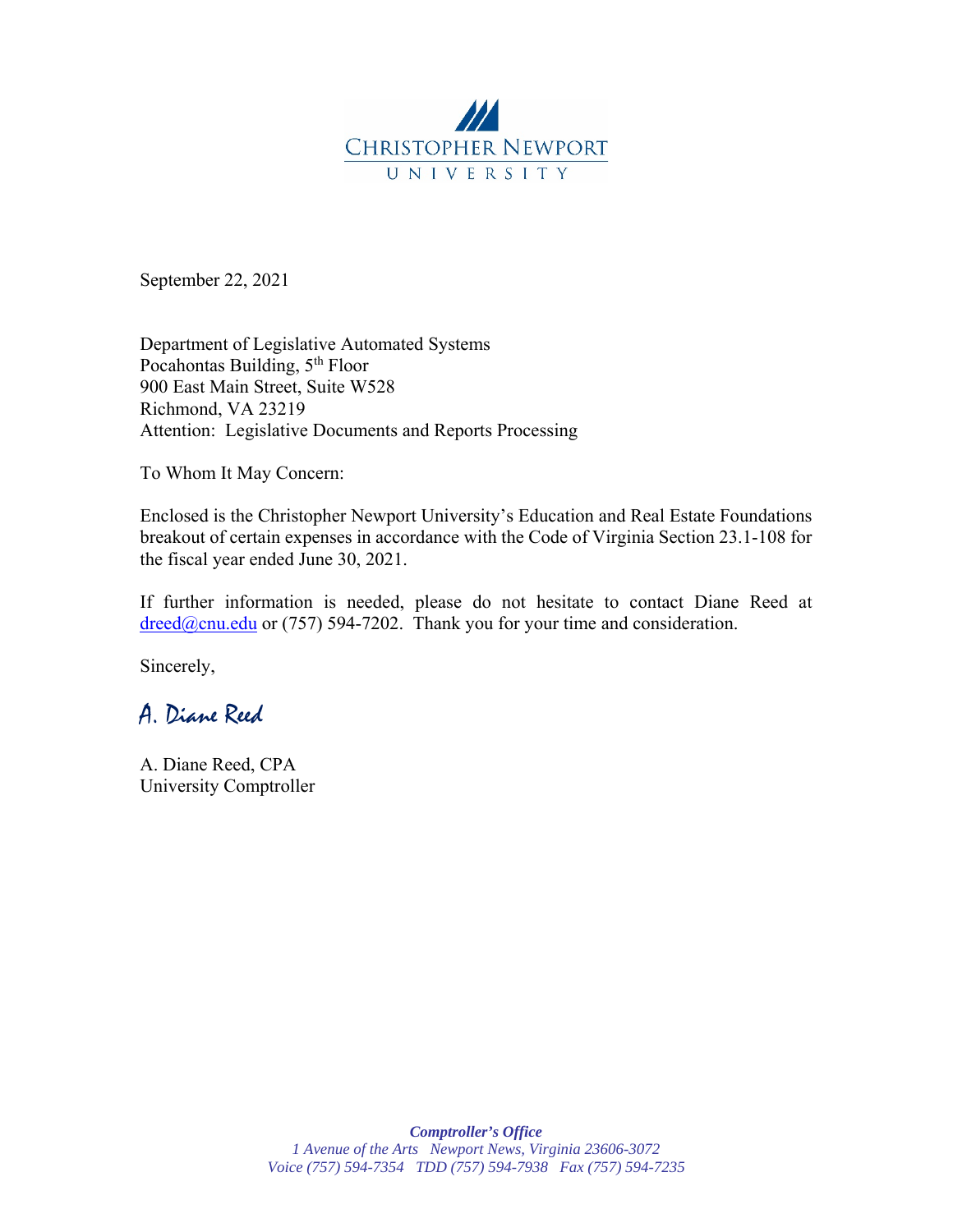

September 22, 2021

Department of Legislative Automated Systems Pocahontas Building, 5<sup>th</sup> Floor 900 East Main Street, Suite W528 Richmond, VA 23219 Attention: Legislative Documents and Reports Processing

To Whom It May Concern:

Enclosed is the Christopher Newport University's Education and Real Estate Foundations breakout of certain expenses in accordance with the Code of Virginia Section 23.1-108 for the fiscal year ended June 30, 2021.

If further information is needed, please do not hesitate to contact Diane Reed at dreed@cnu.edu or (757) 594-7202. Thank you for your time and consideration.

Sincerely,

## A. Diane Reed

A. Diane Reed, CPA University Comptroller